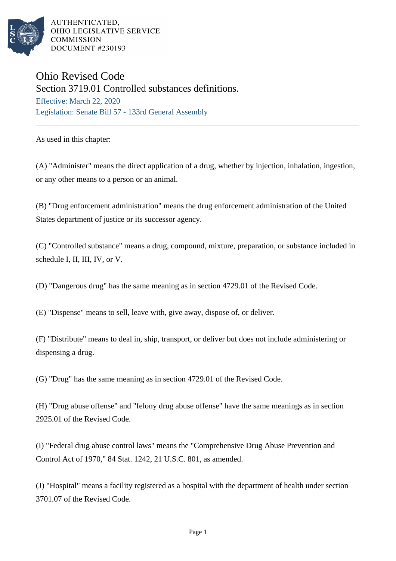

AUTHENTICATED, OHIO LEGISLATIVE SERVICE **COMMISSION** DOCUMENT #230193

## Ohio Revised Code

Section 3719.01 Controlled substances definitions.

Effective: March 22, 2020 Legislation: Senate Bill 57 - 133rd General Assembly

As used in this chapter:

(A) "Administer" means the direct application of a drug, whether by injection, inhalation, ingestion, or any other means to a person or an animal.

(B) "Drug enforcement administration" means the drug enforcement administration of the United States department of justice or its successor agency.

(C) "Controlled substance" means a drug, compound, mixture, preparation, or substance included in schedule I, II, III, IV, or V.

(D) "Dangerous drug" has the same meaning as in section 4729.01 of the Revised Code.

(E) "Dispense" means to sell, leave with, give away, dispose of, or deliver.

(F) "Distribute" means to deal in, ship, transport, or deliver but does not include administering or dispensing a drug.

(G) "Drug" has the same meaning as in section 4729.01 of the Revised Code.

(H) "Drug abuse offense" and "felony drug abuse offense" have the same meanings as in section 2925.01 of the Revised Code.

(I) "Federal drug abuse control laws" means the "Comprehensive Drug Abuse Prevention and Control Act of 1970," 84 Stat. 1242, 21 U.S.C. 801, as amended.

(J) "Hospital" means a facility registered as a hospital with the department of health under section 3701.07 of the Revised Code.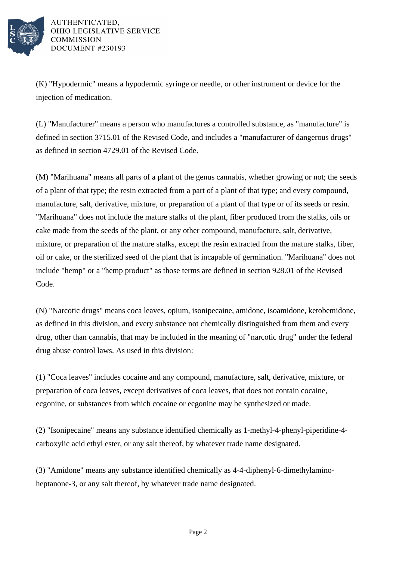

AUTHENTICATED. OHIO LEGISLATIVE SERVICE **COMMISSION** DOCUMENT #230193

(K) "Hypodermic" means a hypodermic syringe or needle, or other instrument or device for the injection of medication.

(L) "Manufacturer" means a person who manufactures a controlled substance, as "manufacture" is defined in section 3715.01 of the Revised Code, and includes a "manufacturer of dangerous drugs" as defined in section 4729.01 of the Revised Code.

(M) "Marihuana" means all parts of a plant of the genus cannabis, whether growing or not; the seeds of a plant of that type; the resin extracted from a part of a plant of that type; and every compound, manufacture, salt, derivative, mixture, or preparation of a plant of that type or of its seeds or resin. "Marihuana" does not include the mature stalks of the plant, fiber produced from the stalks, oils or cake made from the seeds of the plant, or any other compound, manufacture, salt, derivative, mixture, or preparation of the mature stalks, except the resin extracted from the mature stalks, fiber, oil or cake, or the sterilized seed of the plant that is incapable of germination. "Marihuana" does not include "hemp" or a "hemp product" as those terms are defined in section 928.01 of the Revised Code.

(N) "Narcotic drugs" means coca leaves, opium, isonipecaine, amidone, isoamidone, ketobemidone, as defined in this division, and every substance not chemically distinguished from them and every drug, other than cannabis, that may be included in the meaning of "narcotic drug" under the federal drug abuse control laws. As used in this division:

(1) "Coca leaves" includes cocaine and any compound, manufacture, salt, derivative, mixture, or preparation of coca leaves, except derivatives of coca leaves, that does not contain cocaine, ecgonine, or substances from which cocaine or ecgonine may be synthesized or made.

(2) "Isonipecaine" means any substance identified chemically as 1-methyl-4-phenyl-piperidine-4 carboxylic acid ethyl ester, or any salt thereof, by whatever trade name designated.

(3) "Amidone" means any substance identified chemically as 4-4-diphenyl-6-dimethylaminoheptanone-3, or any salt thereof, by whatever trade name designated.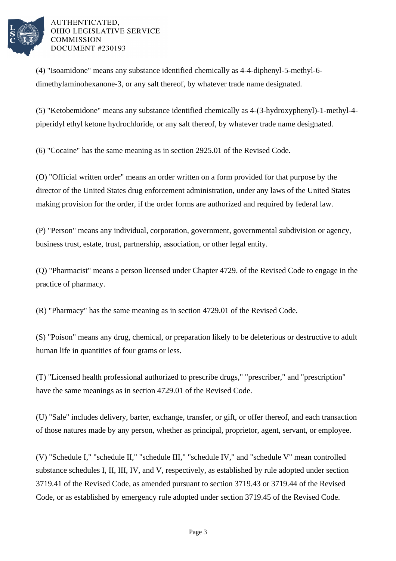

## AUTHENTICATED. OHIO LEGISLATIVE SERVICE **COMMISSION** DOCUMENT #230193

(4) "Isoamidone" means any substance identified chemically as 4-4-diphenyl-5-methyl-6 dimethylaminohexanone-3, or any salt thereof, by whatever trade name designated.

(5) "Ketobemidone" means any substance identified chemically as 4-(3-hydroxyphenyl)-1-methyl-4 piperidyl ethyl ketone hydrochloride, or any salt thereof, by whatever trade name designated.

(6) "Cocaine" has the same meaning as in section 2925.01 of the Revised Code.

(O) "Official written order" means an order written on a form provided for that purpose by the director of the United States drug enforcement administration, under any laws of the United States making provision for the order, if the order forms are authorized and required by federal law.

(P) "Person" means any individual, corporation, government, governmental subdivision or agency, business trust, estate, trust, partnership, association, or other legal entity.

(Q) "Pharmacist" means a person licensed under Chapter 4729. of the Revised Code to engage in the practice of pharmacy.

(R) "Pharmacy" has the same meaning as in section 4729.01 of the Revised Code.

(S) "Poison" means any drug, chemical, or preparation likely to be deleterious or destructive to adult human life in quantities of four grams or less.

(T) "Licensed health professional authorized to prescribe drugs," "prescriber," and "prescription" have the same meanings as in section 4729.01 of the Revised Code.

(U) "Sale" includes delivery, barter, exchange, transfer, or gift, or offer thereof, and each transaction of those natures made by any person, whether as principal, proprietor, agent, servant, or employee.

(V) "Schedule I," "schedule II," "schedule III," "schedule IV," and "schedule V" mean controlled substance schedules I, II, III, IV, and V, respectively, as established by rule adopted under section 3719.41 of the Revised Code, as amended pursuant to section 3719.43 or 3719.44 of the Revised Code, or as established by emergency rule adopted under section 3719.45 of the Revised Code.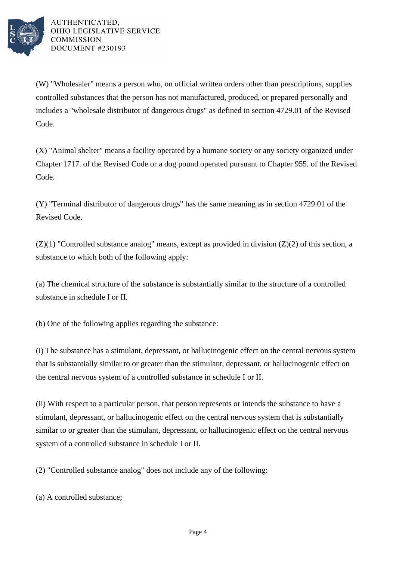

AUTHENTICATED. OHIO LEGISLATIVE SERVICE **COMMISSION** DOCUMENT #230193

(W) "Wholesaler" means a person who, on official written orders other than prescriptions, supplies controlled substances that the person has not manufactured, produced, or prepared personally and includes a "wholesale distributor of dangerous drugs" as defined in section 4729.01 of the Revised Code.

(X) "Animal shelter" means a facility operated by a humane society or any society organized under Chapter 1717. of the Revised Code or a dog pound operated pursuant to Chapter 955. of the Revised Code.

(Y) "Terminal distributor of dangerous drugs" has the same meaning as in section 4729.01 of the Revised Code.

 $(Z)(1)$  "Controlled substance analog" means, except as provided in division  $(Z)(2)$  of this section, a substance to which both of the following apply:

(a) The chemical structure of the substance is substantially similar to the structure of a controlled substance in schedule I or II.

(b) One of the following applies regarding the substance:

(i) The substance has a stimulant, depressant, or hallucinogenic effect on the central nervous system that is substantially similar to or greater than the stimulant, depressant, or hallucinogenic effect on the central nervous system of a controlled substance in schedule I or II.

(ii) With respect to a particular person, that person represents or intends the substance to have a stimulant, depressant, or hallucinogenic effect on the central nervous system that is substantially similar to or greater than the stimulant, depressant, or hallucinogenic effect on the central nervous system of a controlled substance in schedule I or II.

(2) "Controlled substance analog" does not include any of the following:

(a) A controlled substance;